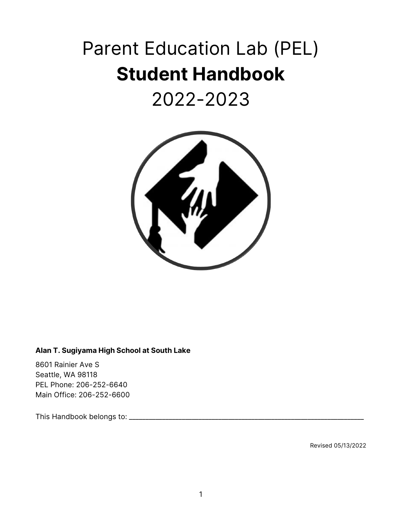# Parent Education Lab (PEL) **Student Handbook**

## 2022-2023



#### **Alan T. Sugiyama High School at South Lake**

8601 Rainier Ave S Seattle, WA 98118 PEL Phone: 206-252-6640 Main Office: 206-252-6600

This Handbook belongs to: \_\_\_\_\_\_\_\_\_\_\_\_\_\_\_\_\_\_\_\_\_\_\_\_\_\_\_\_\_\_\_\_\_\_\_\_\_\_\_\_\_\_\_\_\_\_\_\_\_\_\_\_\_\_\_\_\_\_\_\_\_\_\_\_\_\_\_\_\_\_\_

Revised 05/13/2022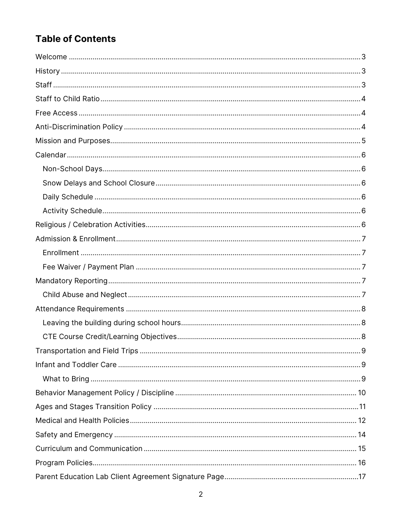## **Table of Contents**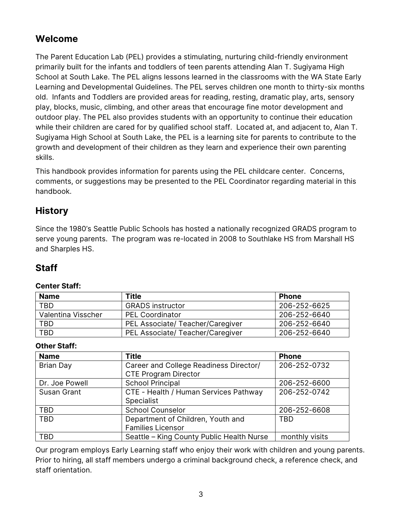## <span id="page-2-0"></span>**Welcome**

The Parent Education Lab (PEL) provides a stimulating, nurturing child-friendly environment primarily built for the infants and toddlers of teen parents attending Alan T. Sugiyama High School at South Lake. The PEL aligns lessons learned in the classrooms with the WA State Early Learning and Developmental Guidelines. The PEL serves children one month to thirty-six months old. Infants and Toddlers are provided areas for reading, resting, dramatic play, arts, sensory play, blocks, music, climbing, and other areas that encourage fine motor development and outdoor play. The PEL also provides students with an opportunity to continue their education while their children are cared for by qualified school staff. Located at, and adjacent to, Alan T. Sugiyama High School at South Lake, the PEL is a learning site for parents to contribute to the growth and development of their children as they learn and experience their own parenting skills.

This handbook provides information for parents using the PEL childcare center. Concerns, comments, or suggestions may be presented to the PEL Coordinator regarding material in this handbook.

## <span id="page-2-1"></span>**History**

Since the 1980's Seattle Public Schools has hosted a nationally recognized GRADS program to serve young parents. The program was re-located in 2008 to Southlake HS from Marshall HS and Sharples HS.

## <span id="page-2-2"></span>**Staff**

#### **Center Staff:**

| <b>Name</b>        | <b>Title</b>                     | <b>Phone</b> |
|--------------------|----------------------------------|--------------|
| <b>TBD</b>         | <b>GRADS</b> instructor          | 206-252-6625 |
| Valentina Visscher | <b>PEL Coordinator</b>           | 206-252-6640 |
| <b>TBD</b>         | PEL Associate/ Teacher/Caregiver | 206-252-6640 |
| <b>TBD</b>         | PEL Associate/ Teacher/Caregiver | 206-252-6640 |

#### **Other Staff:**

| <b>Name</b>    | <b>Title</b>                              | <b>Phone</b>   |
|----------------|-------------------------------------------|----------------|
| Brian Day      | Career and College Readiness Director/    | 206-252-0732   |
|                | <b>CTE Program Director</b>               |                |
| Dr. Joe Powell | <b>School Principal</b>                   | 206-252-6600   |
| Susan Grant    | CTE - Health / Human Services Pathway     | 206-252-0742   |
|                | Specialist                                |                |
| <b>TBD</b>     | <b>School Counselor</b>                   | 206-252-6608   |
| <b>TBD</b>     | Department of Children, Youth and         | <b>TBD</b>     |
|                | <b>Families Licensor</b>                  |                |
| TBD            | Seattle - King County Public Health Nurse | monthly visits |

Our program employs Early Learning staff who enjoy their work with children and young parents. Prior to hiring, all staff members undergo a criminal background check, a reference check, and staff orientation.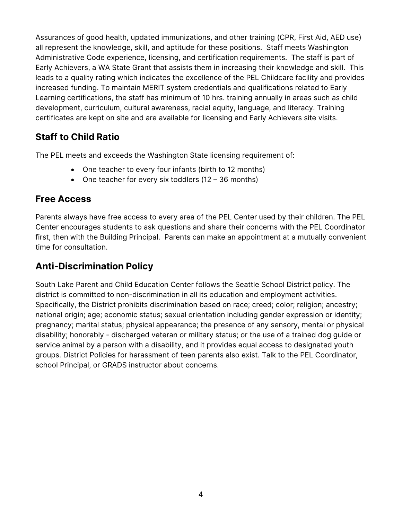Assurances of good health, updated immunizations, and other training (CPR, First Aid, AED use) all represent the knowledge, skill, and aptitude for these positions. Staff meets Washington Administrative Code experience, licensing, and certification requirements. The staff is part of Early Achievers, a WA State Grant that assists them in increasing their knowledge and skill. This leads to a quality rating which indicates the excellence of the PEL Childcare facility and provides increased funding. To maintain MERIT system credentials and qualifications related to Early Learning certifications, the staff has minimum of 10 hrs. training annually in areas such as child development, curriculum, cultural awareness, racial equity, language, and literacy. Training certificates are kept on site and are available for licensing and Early Achievers site visits.

## <span id="page-3-0"></span>**Staff to Child Ratio**

The PEL meets and exceeds the Washington State licensing requirement of:

- One teacher to every four infants (birth to 12 months)
- One teacher for every six toddlers (12 36 months)

## <span id="page-3-1"></span>**Free Access**

Parents always have free access to every area of the PEL Center used by their children. The PEL Center encourages students to ask questions and share their concerns with the PEL Coordinator first, then with the Building Principal. Parents can make an appointment at a mutually convenient time for consultation.

## <span id="page-3-2"></span>**Anti-Discrimination Policy**

South Lake Parent and Child Education Center follows the Seattle School District policy. The district is committed to non-discrimination in all its education and employment activities. Specifically, the District prohibits discrimination based on race; creed; color; religion; ancestry; national origin; age; economic status; sexual orientation including gender expression or identity; pregnancy; marital status; physical appearance; the presence of any sensory, mental or physical disability; honorably - discharged veteran or military status; or the use of a trained dog guide or service animal by a person with a disability, and it provides equal access to designated youth groups. District Policies for harassment of teen parents also exist. Talk to the PEL Coordinator, school Principal, or GRADS instructor about concerns.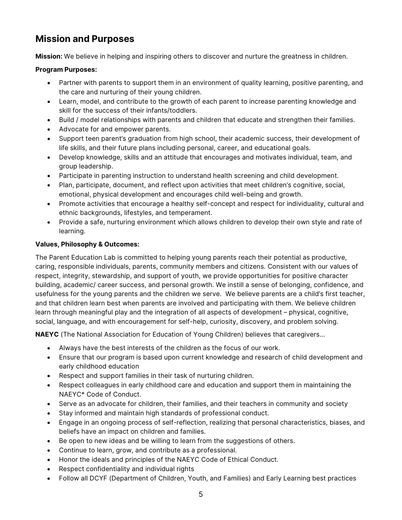## <span id="page-4-0"></span>**Mission and Purposes**

**Mission:** We believe in helping and inspiring others to discover and nurture the greatness in children.

#### **Program Purposes:**

- Partner with parents to support them in an environment of quality learning, positive parenting, and the care and nurturing of their young children.
- Learn, model, and contribute to the growth of each parent to increase parenting knowledge and skill for the success of their infants/toddlers.
- Build / model relationships with parents and children that educate and strengthen their families.
- Advocate for and empower parents.
- Support teen parent's graduation from high school, their academic success, their development of life skills, and their future plans including personal, career, and educational goals.
- Develop knowledge, skills and an attitude that encourages and motivates individual, team, and group leadership.
- Participate in parenting instruction to understand health screening and child development.
- Plan, participate, document, and reflect upon activities that meet children's cognitive, social, emotional, physical development and encourages child well-being and growth.
- Promote activities that encourage a healthy self-concept and respect for individuality, cultural and ethnic backgrounds, lifestyles, and temperament.
- Provide a safe, nurturing environment which allows children to develop their own style and rate of learning.

#### **Values, Philosophy & Outcomes:**

The Parent Education Lab is committed to helping young parents reach their potential as productive, caring, responsible individuals, parents, community members and citizens. Consistent with our values of respect, integrity, stewardship, and support of youth, we provide opportunities for positive character building, academic/ career success, and personal growth. We instill a sense of belonging, confidence, and usefulness for the young parents and the children we serve. We believe parents are a child's first teacher, and that children learn best when parents are involved and participating with them. We believe children learn through meaningful play and the integration of all aspects of development – physical, cognitive, social, language, and with encouragement for self-help, curiosity, discovery, and problem solving.

**NAEYC** (The National Association for Education of Young Children) believes that caregivers…

- Always have the best interests of the children as the focus of our work.
- Ensure that our program is based upon current knowledge and research of child development and early childhood education
- Respect and support families in their task of nurturing children.
- Respect colleagues in early childhood care and education and support them in maintaining the NAEYC\* Code of Conduct.
- Serve as an advocate for children, their families, and their teachers in community and society
- Stay informed and maintain high standards of professional conduct.
- Engage in an ongoing process of self-reflection, realizing that personal characteristics, biases, and beliefs have an impact on children and families.
- Be open to new ideas and be willing to learn from the suggestions of others.
- Continue to learn, grow, and contribute as a professional.
- Honor the ideals and principles of the NAEYC Code of Ethical Conduct.
- Respect confidentiality and individual rights
- Follow all DCYF (Department of Children, Youth, and Families) and Early Learning best practices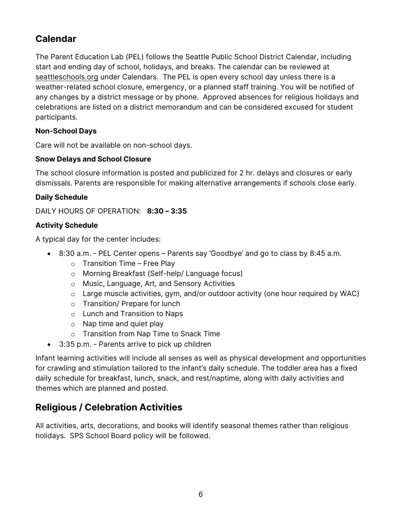## <span id="page-5-0"></span>**Calendar**

The Parent Education Lab (PEL) follows the Seattle Public School District Calendar, including start and ending day of school, holidays, and breaks. The calendar can be reviewed at seattleschools.org under Calendars. The PEL is open every school day unless there is a weather-related school closure, emergency, or a planned staff training. You will be notified of any changes by a district message or by phone. Approved absences for religious holidays and celebrations are listed on a district memorandum and can be considered excused for student participants.

#### <span id="page-5-1"></span>**Non-School Days**

Care will not be available on non-school days.

#### <span id="page-5-2"></span>**Snow Delays and School Closure**

The school closure information is posted and publicized for 2 hr. delays and closures or early dismissals. Parents are responsible for making alternative arrangements if schools close early.

#### <span id="page-5-3"></span>**Daily Schedule**

DAILY HOURS OF OPERATION: **8:30 – 3:35**

#### <span id="page-5-4"></span>**Activity Schedule**

A typical day for the center includes:

- 8:30 a.m. PEL Center opens Parents say 'Goodbye' and go to class by 8:45 a.m.
	- $\circ$  Transition Time Free Play
	- o Morning Breakfast (Self-help/ Language focus)
	- o Music, Language, Art, and Sensory Activities
	- o Large muscle activities, gym, and/or outdoor activity (one hour required by WAC)
	- o Transition/ Prepare for lunch
	- o Lunch and Transition to Naps
	- o Nap time and quiet play
	- o Transition from Nap Time to Snack Time
- 3:35 p.m. Parents arrive to pick up children

Infant learning activities will include all senses as well as physical development and opportunities for crawling and stimulation tailored to the infant's daily schedule. The toddler area has a fixed daily schedule for breakfast, lunch, snack, and rest/naptime, along with daily activities and themes which are planned and posted.

## <span id="page-5-5"></span>**Religious / Celebration Activities**

All activities, arts, decorations, and books will identify seasonal themes rather than religious holidays. SPS School Board policy will be followed.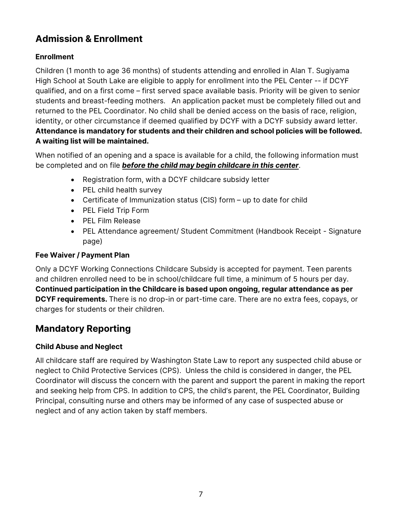## <span id="page-6-0"></span>**Admission & Enrollment**

#### <span id="page-6-1"></span>**Enrollment**

Children (1 month to age 36 months) of students attending and enrolled in Alan T. Sugiyama High School at South Lake are eligible to apply for enrollment into the PEL Center -- if DCYF qualified, and on a first come – first served space available basis. Priority will be given to senior students and breast-feeding mothers. An application packet must be completely filled out and returned to the PEL Coordinator. No child shall be denied access on the basis of race, religion, identity, or other circumstance if deemed qualified by DCYF with a DCYF subsidy award letter.

**Attendance is mandatory for students and their children and school policies will be followed. A waiting list will be maintained.** 

When notified of an opening and a space is available for a child, the following information must be completed and on file *before the child may begin childcare in this center*.

- Registration form, with a DCYF childcare subsidy letter
- PEL child health survey
- Certificate of Immunization status (CIS) form up to date for child
- PEL Field Trip Form
- PEL Film Release
- PEL Attendance agreement/ Student Commitment (Handbook Receipt Signature page)

#### <span id="page-6-2"></span>**Fee Waiver / Payment Plan**

Only a DCYF Working Connections Childcare Subsidy is accepted for payment. Teen parents and children enrolled need to be in school/childcare full time, a minimum of 5 hours per day. **Continued participation in the Childcare is based upon ongoing, regular attendance as per DCYF requirements.** There is no drop-in or part-time care. There are no extra fees, copays, or charges for students or their children.

#### <span id="page-6-3"></span>**Mandatory Reporting**

#### <span id="page-6-4"></span>**Child Abuse and Neglect**

All childcare staff are required by Washington State Law to report any suspected child abuse or neglect to Child Protective Services (CPS). Unless the child is considered in danger, the PEL Coordinator will discuss the concern with the parent and support the parent in making the report and seeking help from CPS. In addition to CPS, the child's parent, the PEL Coordinator, Building Principal, consulting nurse and others may be informed of any case of suspected abuse or neglect and of any action taken by staff members.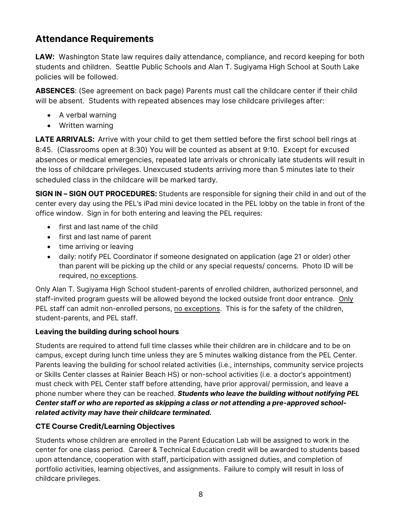## <span id="page-7-0"></span>**Attendance Requirements**

**LAW:** Washington State law requires daily attendance, compliance, and record keeping for both students and children. Seattle Public Schools and Alan T. Sugiyama High School at South Lake policies will be followed.

**ABSENCES**: (See agreement on back page) Parents must call the childcare center if their child will be absent. Students with repeated absences may lose childcare privileges after:

- A verbal warning
- Written warning

**LATE ARRIVALS:** Arrive with your child to get them settled before the first school bell rings at 8:45. (Classrooms open at 8:30) You will be counted as absent at 9:10. Except for excused absences or medical emergencies, repeated late arrivals or chronically late students will result in the loss of childcare privileges. Unexcused students arriving more than 5 minutes late to their scheduled class in the childcare will be marked tardy.

**SIGN IN – SIGN OUT PROCEDURES:** Students are responsible for signing their child in and out of the center every day using the PEL's iPad mini device located in the PEL lobby on the table in front of the office window. Sign in for both entering and leaving the PEL requires:

- first and last name of the child
- first and last name of parent
- time arriving or leaving
- daily: notify PEL Coordinator if someone designated on application (age 21 or older) other than parent will be picking up the child or any special requests/ concerns. Photo ID will be required, no exceptions.

Only Alan T. Sugiyama High School student-parents of enrolled children, authorized personnel, and staff-invited program guests will be allowed beyond the locked outside front door entrance. Only PEL staff can admit non-enrolled persons, no exceptions. This is for the safety of the children, student-parents, and PEL staff.

#### <span id="page-7-1"></span>**Leaving the building during school hours**

Students are required to attend full time classes while their children are in childcare and to be on campus, except during lunch time unless they are 5 minutes walking distance from the PEL Center. Parents leaving the building for school related activities (i.e., internships, community service projects or Skills Center classes at Rainier Beach HS) or non-school activities (i.e. a doctor's appointment) must check with PEL Center staff before attending, have prior approval/ permission, and leave a phone number where they can be reached. *Students who leave the building without notifying PEL Center staff or who are reported as skipping a class or not attending a pre-approved schoolrelated activity may have their childcare terminated.*

#### <span id="page-7-2"></span>**CTE Course Credit/Learning Objectives**

Students whose children are enrolled in the Parent Education Lab will be assigned to work in the center for one class period. Career & Technical Education credit will be awarded to students based upon attendance, cooperation with staff, participation with assigned duties, and completion of portfolio activities, learning objectives, and assignments. Failure to comply will result in loss of childcare privileges.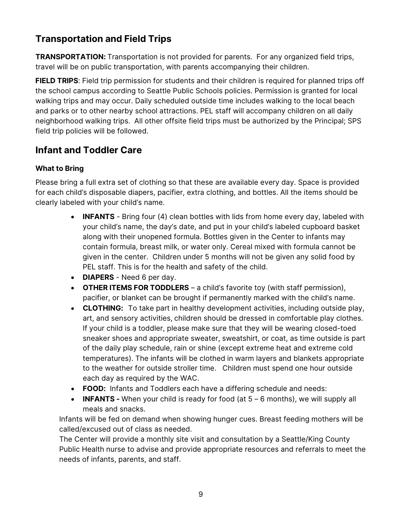## <span id="page-8-0"></span>**Transportation and Field Trips**

**TRANSPORTATION:** Transportation is not provided for parents. For any organized field trips, travel will be on public transportation, with parents accompanying their children.

**FIELD TRIPS**: Field trip permission for students and their children is required for planned trips off the school campus according to Seattle Public Schools policies. Permission is granted for local walking trips and may occur. Daily scheduled outside time includes walking to the local beach and parks or to other nearby school attractions. PEL staff will accompany children on all daily neighborhood walking trips. All other offsite field trips must be authorized by the Principal; SPS field trip policies will be followed.

## <span id="page-8-1"></span>**Infant and Toddler Care**

#### <span id="page-8-2"></span>**What to Bring**

Please bring a full extra set of clothing so that these are available every day. Space is provided for each child's disposable diapers, pacifier, extra clothing, and bottles. All the items should be clearly labeled with your child's name.

- **INFANTS** Bring four (4) clean bottles with lids from home every day, labeled with your child's name, the day's date, and put in your child's labeled cupboard basket along with their unopened formula. Bottles given in the Center to infants may contain formula, breast milk, or water only. Cereal mixed with formula cannot be given in the center. Children under 5 months will not be given any solid food by PEL staff. This is for the health and safety of the child.
- **DIAPERS** Need 6 per day.
- **OTHER ITEMS FOR TODDLERS** a child's favorite toy (with staff permission), pacifier, or blanket can be brought if permanently marked with the child's name.
- **CLOTHING:** To take part in healthy development activities, including outside play, art, and sensory activities, children should be dressed in comfortable play clothes. If your child is a toddler, please make sure that they will be wearing closed-toed sneaker shoes and appropriate sweater, sweatshirt, or coat, as time outside is part of the daily play schedule, rain or shine (except extreme heat and extreme cold temperatures). The infants will be clothed in warm layers and blankets appropriate to the weather for outside stroller time. Children must spend one hour outside each day as required by the WAC.
- **FOOD:** Infants and Toddlers each have a differing schedule and needs:
- **INFANTS -** When your child is ready for food (at 5 6 months), we will supply all meals and snacks.

Infants will be fed on demand when showing hunger cues. Breast feeding mothers will be called/excused out of class as needed.

The Center will provide a monthly site visit and consultation by a Seattle/King County Public Health nurse to advise and provide appropriate resources and referrals to meet the needs of infants, parents, and staff.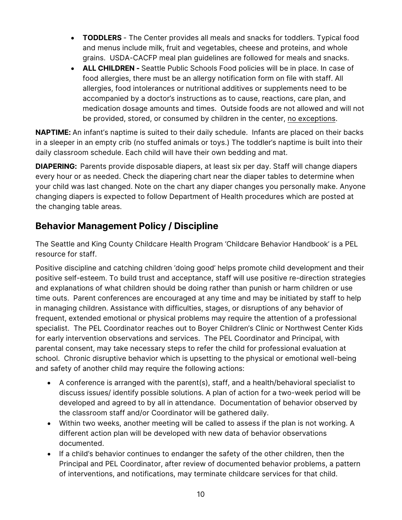- **TODDLERS** The Center provides all meals and snacks for toddlers. Typical food and menus include milk, fruit and vegetables, cheese and proteins, and whole grains. USDA-CACFP meal plan guidelines are followed for meals and snacks.
- **ALL CHILDREN** Seattle Public Schools Food policies will be in place. In case of food allergies, there must be an allergy notification form on file with staff. All allergies, food intolerances or nutritional additives or supplements need to be accompanied by a doctor's instructions as to cause, reactions, care plan, and medication dosage amounts and times. Outside foods are not allowed and will not be provided, stored, or consumed by children in the center, no exceptions.

**NAPTIME:** An infant's naptime is suited to their daily schedule. Infants are placed on their backs in a sleeper in an empty crib (no stuffed animals or toys.) The toddler's naptime is built into their daily classroom schedule. Each child will have their own bedding and mat.

**DIAPERING:** Parents provide disposable diapers, at least six per day. Staff will change diapers every hour or as needed. Check the diapering chart near the diaper tables to determine when your child was last changed. Note on the chart any diaper changes you personally make. Anyone changing diapers is expected to follow Department of Health procedures which are posted at the changing table areas.

## <span id="page-9-0"></span>**Behavior Management Policy / Discipline**

The Seattle and King County Childcare Health Program 'Childcare Behavior Handbook' is a PEL resource for staff.

Positive discipline and catching children 'doing good' helps promote child development and their positive self-esteem. To build trust and acceptance, staff will use positive re-direction strategies and explanations of what children should be doing rather than punish or harm children or use time outs. Parent conferences are encouraged at any time and may be initiated by staff to help in managing children. Assistance with difficulties, stages, or disruptions of any behavior of frequent, extended emotional or physical problems may require the attention of a professional specialist. The PEL Coordinator reaches out to Boyer Children's Clinic or Northwest Center Kids for early intervention observations and services. The PEL Coordinator and Principal, with parental consent, may take necessary steps to refer the child for professional evaluation at school. Chronic disruptive behavior which is upsetting to the physical or emotional well-being and safety of another child may require the following actions:

- A conference is arranged with the parent(s), staff, and a health/behavioral specialist to discuss issues/ identify possible solutions. A plan of action for a two-week period will be developed and agreed to by all in attendance. Documentation of behavior observed by the classroom staff and/or Coordinator will be gathered daily.
- Within two weeks, another meeting will be called to assess if the plan is not working. A different action plan will be developed with new data of behavior observations documented.
- If a child's behavior continues to endanger the safety of the other children, then the Principal and PEL Coordinator, after review of documented behavior problems, a pattern of interventions, and notifications, may terminate childcare services for that child.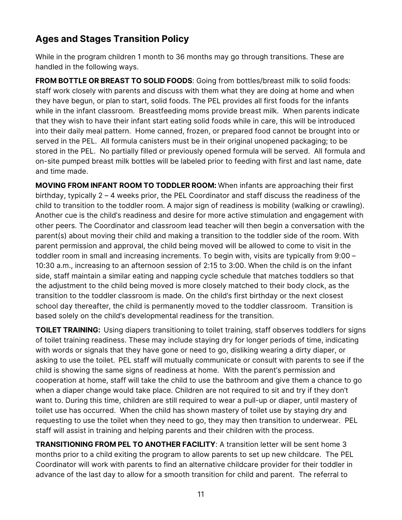## <span id="page-10-0"></span>**Ages and Stages Transition Policy**

While in the program children 1 month to 36 months may go through transitions. These are handled in the following ways.

**FROM BOTTLE OR BREAST TO SOLID FOODS**: Going from bottles/breast milk to solid foods: staff work closely with parents and discuss with them what they are doing at home and when they have begun, or plan to start, solid foods. The PEL provides all first foods for the infants while in the infant classroom. Breastfeeding moms provide breast milk. When parents indicate that they wish to have their infant start eating solid foods while in care, this will be introduced into their daily meal pattern. Home canned, frozen, or prepared food cannot be brought into or served in the PEL. All formula canisters must be in their original unopened packaging; to be stored in the PEL. No partially filled or previously opened formula will be served. All formula and on-site pumped breast milk bottles will be labeled prior to feeding with first and last name, date and time made.

**MOVING FROM INFANT ROOM TO TODDLER ROOM:** When infants are approaching their first birthday, typically 2 – 4 weeks prior, the PEL Coordinator and staff discuss the readiness of the child to transition to the toddler room. A major sign of readiness is mobility (walking or crawling). Another cue is the child's readiness and desire for more active stimulation and engagement with other peers. The Coordinator and classroom lead teacher will then begin a conversation with the parent(s) about moving their child and making a transition to the toddler side of the room. With parent permission and approval, the child being moved will be allowed to come to visit in the toddler room in small and increasing increments. To begin with, visits are typically from 9:00 – 10:30 a.m., increasing to an afternoon session of 2:15 to 3:00. When the child is on the infant side, staff maintain a similar eating and napping cycle schedule that matches toddlers so that the adjustment to the child being moved is more closely matched to their body clock, as the transition to the toddler classroom is made. On the child's first birthday or the next closest school day thereafter, the child is permanently moved to the toddler classroom. Transition is based solely on the child's developmental readiness for the transition.

**TOILET TRAINING:** Using diapers transitioning to toilet training, staff observes toddlers for signs of toilet training readiness. These may include staying dry for longer periods of time, indicating with words or signals that they have gone or need to go, disliking wearing a dirty diaper, or asking to use the toilet.PEL staff will mutually communicate or consult with parents to see if the child is showing the same signs of readiness at home. With the parent's permission and cooperation at home, staff will take the child to use the bathroom and give them a chance to go when a diaper change would take place. Children are not required to sit and try if they don't want to. During this time, children are still required to wear a pull-up or diaper, until mastery of toilet use has occurred. When the child has shown mastery of toilet use by staying dry and requesting to use the toilet when they need to go, they may then transition to underwear. PEL staff will assist in training and helping parents and their children with the process.

**TRANSITIONING FROM PEL TO ANOTHER FACILITY**: A transition letter will be sent home 3 months prior to a child exiting the program to allow parents to set up new childcare. The PEL Coordinator will work with parents to find an alternative childcare provider for their toddler in advance of the last day to allow for a smooth transition for child and parent. The referral to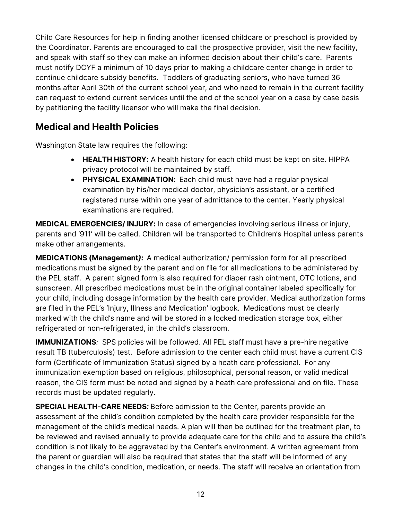Child Care Resources for help in finding another licensed childcare or preschool is provided by the Coordinator. Parents are encouraged to call the prospective provider, visit the new facility, and speak with staff so they can make an informed decision about their child's care. Parents must notify DCYF a minimum of 10 days prior to making a childcare center change in order to continue childcare subsidy benefits. Toddlers of graduating seniors, who have turned 36 months after April 30th of the current school year, and who need to remain in the current facility can request to extend current services until the end of the school year on a case by case basis by petitioning the facility licensor who will make the final decision.

## <span id="page-11-0"></span>**Medical and Health Policies**

Washington State law requires the following:

- **HEALTH HISTORY:** A health history for each child must be kept on site. HIPPA privacy protocol will be maintained by staff.
- **PHYSICAL EXAMINATION:** Each child must have had a regular physical examination by his/her medical doctor, physician's assistant, or a certified registered nurse within one year of admittance to the center. Yearly physical examinations are required.

**MEDICAL EMERGENCIES/ INJURY:** In case of emergencies involving serious illness or injury, parents and '911' will be called. Children will be transported to Children's Hospital unless parents make other arrangements.

**MEDICATIONS (Management***):*A medical authorization/ permission form for all prescribed medications must be signed by the parent and on file for all medications to be administered by the PEL staff. A parent signed form is also required for diaper rash ointment, OTC lotions, and sunscreen. All prescribed medications must be in the original container labeled specifically for your child, including dosage information by the health care provider. Medical authorization forms are filed in the PEL's 'Injury, Illness and Medication' logbook. Medications must be clearly marked with the child's name and will be stored in a locked medication storage box, either refrigerated or non-refrigerated, in the child's classroom.

**IMMUNIZATIONS***:* SPS policies will be followed. All PEL staff must have a pre-hire negative result TB (tuberculosis) test. Before admission to the center each child must have a current CIS form (Certificate of Immunization Status) signed by a heath care professional. For any immunization exemption based on religious, philosophical, personal reason, or valid medical reason, the CIS form must be noted and signed by a heath care professional and on file. These records must be updated regularly.

**SPECIAL HEALTH-CARE NEEDS***:* Before admission to the Center, parents provide an assessment of the child's condition completed by the health care provider responsible for the management of the child's medical needs. A plan will then be outlined for the treatment plan, to be reviewed and revised annually to provide adequate care for the child and to assure the child's condition is not likely to be aggravated by the Center's environment. A written agreement from the parent or guardian will also be required that states that the staff will be informed of any changes in the child's condition, medication, or needs. The staff will receive an orientation from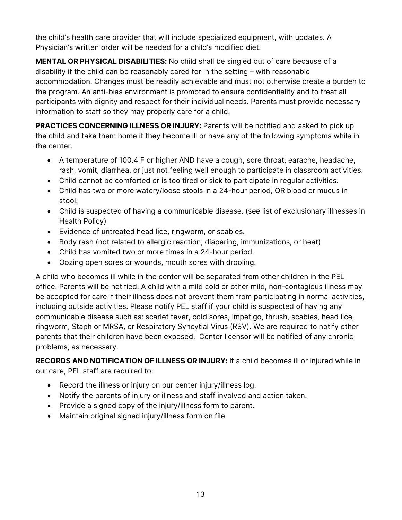the child's health care provider that will include specialized equipment, with updates. A Physician's written order will be needed for a child's modified diet.

**MENTAL OR PHYSICAL DISABILITIES:** No child shall be singled out of care because of a disability if the child can be reasonably cared for in the setting – with reasonable accommodation. Changes must be readily achievable and must not otherwise create a burden to the program. An anti-bias environment is promoted to ensure confidentiality and to treat all participants with dignity and respect for their individual needs. Parents must provide necessary information to staff so they may properly care for a child.

**PRACTICES CONCERNING ILLNESS OR INJURY:** Parents will be notified and asked to pick up the child and take them home if they become ill or have any of the following symptoms while in the center.

- A temperature of 100.4 F or higher AND have a cough, sore throat, earache, headache, rash, vomit, diarrhea, or just not feeling well enough to participate in classroom activities.
- Child cannot be comforted or is too tired or sick to participate in regular activities.
- Child has two or more watery/loose stools in a 24-hour period, OR blood or mucus in stool.
- Child is suspected of having a communicable disease. (see list of exclusionary illnesses in Health Policy)
- Evidence of untreated head lice, ringworm, or scabies.
- Body rash (not related to allergic reaction, diapering, immunizations, or heat)
- Child has vomited two or more times in a 24-hour period.
- Oozing open sores or wounds, mouth sores with drooling.

A child who becomes ill while in the center will be separated from other children in the PEL office. Parents will be notified. A child with a mild cold or other mild, non-contagious illness may be accepted for care if their illness does not prevent them from participating in normal activities, including outside activities. Please notify PEL staff if your child is suspected of having any communicable disease such as: scarlet fever, cold sores, impetigo, thrush, scabies, head lice, ringworm, Staph or MRSA, or Respiratory Syncytial Virus (RSV). We are required to notify other parents that their children have been exposed. Center licensor will be notified of any chronic problems, as necessary.

**RECORDS AND NOTIFICATION OF ILLNESS OR INJURY:** If a child becomes ill or injured while in our care, PEL staff are required to:

- Record the illness or injury on our center injury/illness log.
- Notify the parents of injury or illness and staff involved and action taken.
- Provide a signed copy of the injury/illness form to parent.
- Maintain original signed injury/illness form on file.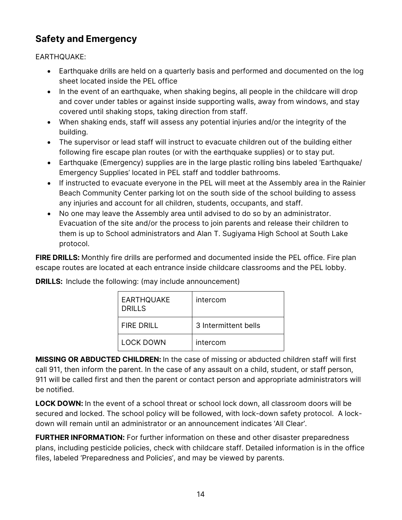## <span id="page-13-0"></span>**Safety and Emergency**

EARTHQUAKE:

- Earthquake drills are held on a quarterly basis and performed and documented on the log sheet located inside the PEL office
- In the event of an earthquake, when shaking begins, all people in the childcare will drop and cover under tables or against inside supporting walls, away from windows, and stay covered until shaking stops, taking direction from staff.
- When shaking ends, staff will assess any potential injuries and/or the integrity of the building.
- The supervisor or lead staff will instruct to evacuate children out of the building either following fire escape plan routes (or with the earthquake supplies) or to stay put.
- Earthquake (Emergency) supplies are in the large plastic rolling bins labeled 'Earthquake/ Emergency Supplies' located in PEL staff and toddler bathrooms.
- If instructed to evacuate everyone in the PEL will meet at the Assembly area in the Rainier Beach Community Center parking lot on the south side of the school building to assess any injuries and account for all children, students, occupants, and staff.
- No one may leave the Assembly area until advised to do so by an administrator. Evacuation of the site and/or the process to join parents and release their children to them is up to School administrators and Alan T. Sugiyama High School at South Lake protocol.

**FIRE DRILLS:** Monthly fire drills are performed and documented inside the PEL office. Fire plan escape routes are located at each entrance inside childcare classrooms and the PEL lobby.

**DRILLS:** Include the following: (may include announcement)

| <b>EARTHQUAKE</b><br><b>DRILLS</b> | intercom             |
|------------------------------------|----------------------|
| FIRE DRILL                         | 3 Intermittent bells |
| <b>LOCK DOWN</b>                   | intercom             |

**MISSING OR ABDUCTED CHILDREN:** In the case of missing or abducted children staff will first call 911, then inform the parent. In the case of any assault on a child, student, or staff person, 911 will be called first and then the parent or contact person and appropriate administrators will be notified.

**LOCK DOWN:** In the event of a school threat or school lock down, all classroom doors will be secured and locked. The school policy will be followed, with lock-down safety protocol. A lockdown will remain until an administrator or an announcement indicates 'All Clear'.

**FURTHER INFORMATION:** For further information on these and other disaster preparedness plans, including pesticide policies, check with childcare staff. Detailed information is in the office files, labeled 'Preparedness and Policies', and may be viewed by parents.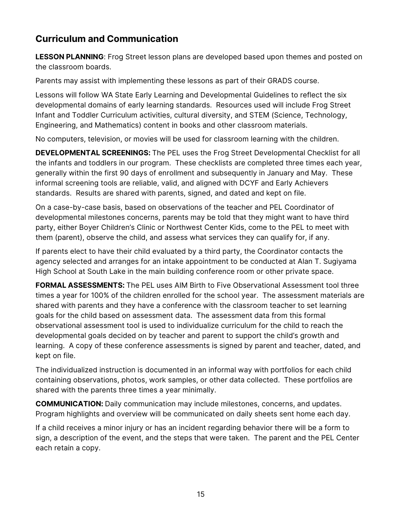## <span id="page-14-0"></span>**Curriculum and Communication**

**LESSON PLANNING**: Frog Street lesson plans are developed based upon themes and posted on the classroom boards.

Parents may assist with implementing these lessons as part of their GRADS course.

Lessons will follow WA State Early Learning and Developmental Guidelines to reflect the six developmental domains of early learning standards. Resources used will include Frog Street Infant and Toddler Curriculum activities, cultural diversity, and STEM (Science, Technology, Engineering, and Mathematics) content in books and other classroom materials.

No computers, television, or movies will be used for classroom learning with the children.

**DEVELOPMENTAL SCREENINGS:** The PEL uses the Frog Street Developmental Checklist for all the infants and toddlers in our program. These checklists are completed three times each year, generally within the first 90 days of enrollment and subsequently in January and May. These informal screening tools are reliable, valid, and aligned with DCYF and Early Achievers standards. Results are shared with parents, signed, and dated and kept on file.

On a case-by-case basis, based on observations of the teacher and PEL Coordinator of developmental milestones concerns, parents may be told that they might want to have third party, either Boyer Children's Clinic or Northwest Center Kids, come to the PEL to meet with them (parent), observe the child, and assess what services they can qualify for, if any.

If parents elect to have their child evaluated by a third party, the Coordinator contacts the agency selected and arranges for an intake appointment to be conducted at Alan T. Sugiyama High School at South Lake in the main building conference room or other private space.

**FORMAL ASSESSMENTS:** The PEL uses AIM Birth to Five Observational Assessment tool three times a year for 100% of the children enrolled for the school year. The assessment materials are shared with parents and they have a conference with the classroom teacher to set learning goals for the child based on assessment data. The assessment data from this formal observational assessment tool is used to individualize curriculum for the child to reach the developmental goals decided on by teacher and parent to support the child's growth and learning. A copy of these conference assessments is signed by parent and teacher, dated, and kept on file.

The individualized instruction is documented in an informal way with portfolios for each child containing observations, photos, work samples, or other data collected. These portfolios are shared with the parents three times a year minimally.

**COMMUNICATION:** Daily communication may include milestones, concerns, and updates. Program highlights and overview will be communicated on daily sheets sent home each day.

If a child receives a minor injury or has an incident regarding behavior there will be a form to sign, a description of the event, and the steps that were taken. The parent and the PEL Center each retain a copy.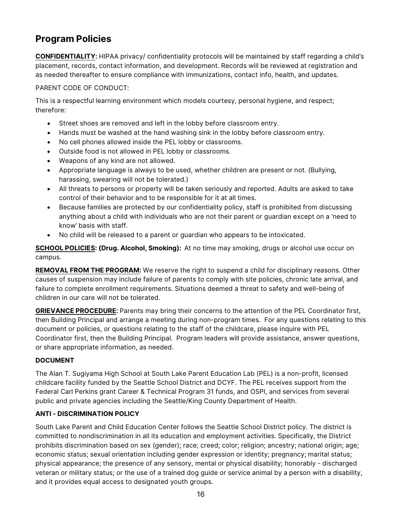## <span id="page-15-0"></span>**Program Policies**

**CONFIDENTIALITY:** HIPAA privacy/ confidentiality protocols will be maintained by staff regarding a child's placement, records, contact information, and development. Records will be reviewed at registration and as needed thereafter to ensure compliance with immunizations, contact info, health, and updates.

PARENT CODE OF CONDUCT:

This is a respectful learning environment which models courtesy, personal hygiene, and respect; therefore:

- Street shoes are removed and left in the lobby before classroom entry.
- Hands must be washed at the hand washing sink in the lobby before classroom entry.
- No cell phones allowed inside the PEL lobby or classrooms.
- Outside food is not allowed in PEL lobby or classrooms.
- Weapons of any kind are not allowed.
- Appropriate language is always to be used, whether children are present or not. (Bullying, harassing, swearing will not be tolerated.)
- All threats to persons or property will be taken seriously and reported. Adults are asked to take control of their behavior and to be responsible for it at all times.
- Because families are protected by our confidentiality policy, staff is prohibited from discussing anything about a child with individuals who are not their parent or guardian except on a 'need to know' basis with staff.
- No child will be released to a parent or guardian who appears to be intoxicated.

**SCHOOL POLICIES: (Drug. Alcohol, Smoking):** At no time may smoking, drugs or alcohol use occur on campus.

**REMOVAL FROM THE PROGRAM:** We reserve the right to suspend a child for disciplinary reasons. Other causes of suspension may include failure of parents to comply with site policies, chronic late arrival, and failure to complete enrollment requirements. Situations deemed a threat to safety and well-being of children in our care will not be tolerated.

**GRIEVANCE PROCEDURE:** Parents may bring their concerns to the attention of the PEL Coordinator first, then Building Principal and arrange a meeting during non-program times. For any questions relating to this document or policies, or questions relating to the staff of the childcare, please inquire with PEL Coordinator first, then the Building Principal. Program leaders will provide assistance, answer questions, or share appropriate information, as needed.

#### **DOCUMENT**

The Alan T. Sugiyama High School at South Lake Parent Education Lab (PEL) is a non-profit, licensed childcare facility funded by the Seattle School District and DCYF. The PEL receives support from the Federal Carl Perkins grant Career & Technical Program 31 funds, and OSPI, and services from several public and private agencies including the Seattle/King County Department of Health.

#### **ANTI - DISCRIMINATION POLICY**

South Lake Parent and Child Education Center follows the Seattle School District policy. The district is committed to nondiscrimination in all its education and employment activities. Specifically, the District prohibits discrimination based on sex (gender); race; creed; color; religion; ancestry; national origin; age; economic status; sexual orientation including gender expression or identity; pregnancy; marital status; physical appearance; the presence of any sensory, mental or physical disability; honorably - discharged veteran or military status; or the use of a trained dog guide or service animal by a person with a disability, and it provides equal access to designated youth groups.